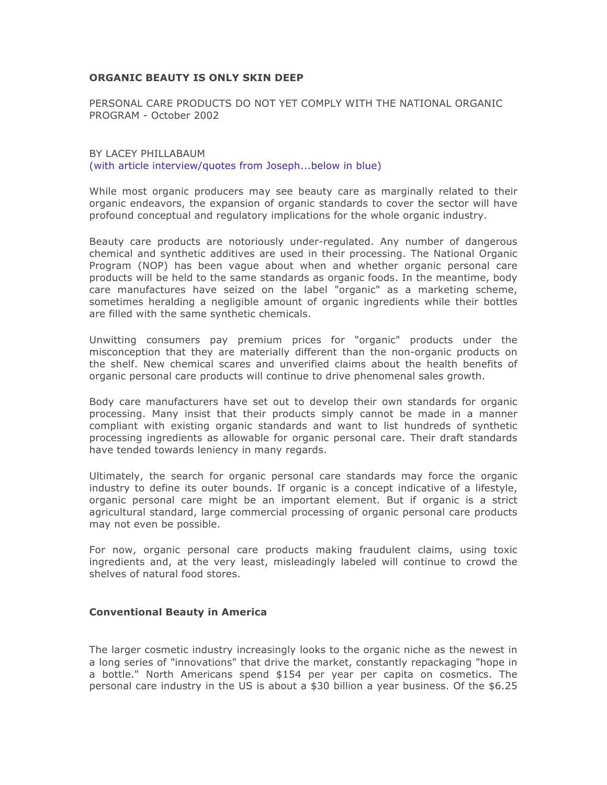### **ORGANIC BEAUTY IS ONLY SKIN DEEP**

PERSONAL CARE PRODUCTS DO NOT YET COMPLY WITH THE NATIONAL ORGANIC PROGRAM - October 2002

BY LACEY PHILLABAUM (with article interview/quotes from Joseph...below in blue)

While most organic producers may see beauty care as marginally related to their organic endeavors, the expansion of organic standards to cover the sector will have profound conceptual and regulatory implications for the whole organic industry.

Beauty care products are notoriously under-regulated. Any number of dangerous chemical and synthetic additives are used in their processing. The National Organic Program (NOP) has been vague about when and whether organic personal care products will be held to the same standards as organic foods. In the meantime, body care manufactures have seized on the label "organic" as a marketing scheme, sometimes heralding a negligible amount of organic ingredients while their bottles are filled with the same synthetic chemicals.

Unwitting consumers pay premium prices for "organic" products under the misconception that they are materially different than the non-organic products on the shelf. New chemical scares and unverified claims about the health benefits of organic personal care products will continue to drive phenomenal sales growth.

Body care manufacturers have set out to develop their own standards for organic processing. Many insist that their products simply cannot be made in a manner compliant with existing organic standards and want to list hundreds of synthetic processing ingredients as allowable for organic personal care. Their draft standards have tended towards leniency in many regards.

Ultimately, the search for organic personal care standards may force the organic industry to define its outer bounds. If organic is a concept indicative of a lifestyle, organic personal care might be an important element. But if organic is a strict agricultural standard, large commercial processing of organic personal care products may not even be possible.

For now, organic personal care products making fraudulent claims, using toxic ingredients and, at the very least, misleadingly labeled will continue to crowd the shelves of natural food stores.

#### **Conventional Beauty in America**

The larger cosmetic industry increasingly looks to the organic niche as the newest in a long series of "innovations" that drive the market, constantly repackaging "hope in a bottle." North Americans spend \$154 per year per capita on cosmetics. The personal care industry in the US is about a \$30 billion a year business. Of the \$6.25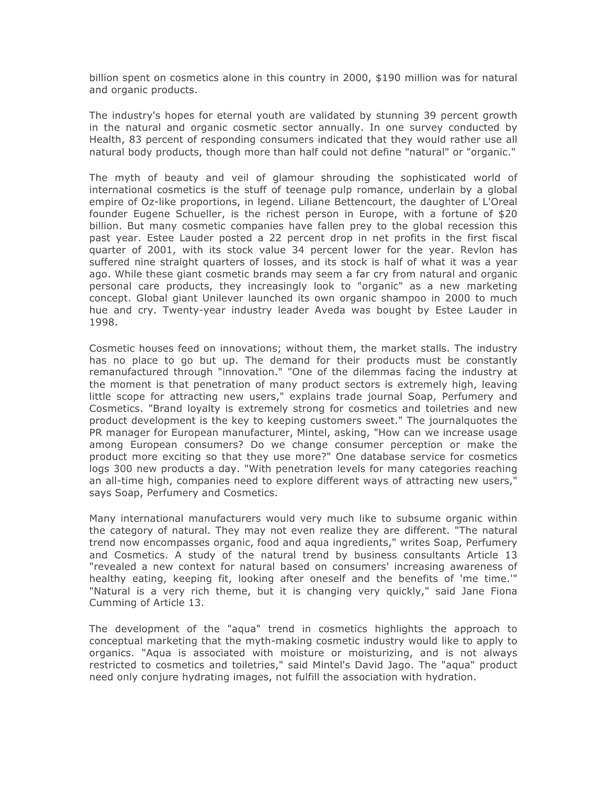billion spent on cosmetics alone in this country in 2000, \$190 million was for natural and organic products.

The industry's hopes for eternal youth are validated by stunning 39 percent growth in the natural and organic cosmetic sector annually. In one survey conducted by Health, 83 percent of responding consumers indicated that they would rather use all natural body products, though more than half could not define "natural" or "organic."

The myth of beauty and veil of glamour shrouding the sophisticated world of international cosmetics is the stuff of teenage pulp romance, underlain by a global empire of Oz-like proportions, in legend. Liliane Bettencourt, the daughter of L'Oreal founder Eugene Schueller, is the richest person in Europe, with a fortune of \$20 billion. But many cosmetic companies have fallen prey to the global recession this past year. Estee Lauder posted a 22 percent drop in net profits in the first fiscal quarter of 2001, with its stock value 34 percent lower for the year. Revlon has suffered nine straight quarters of losses, and its stock is half of what it was a year ago. While these giant cosmetic brands may seem a far cry from natural and organic personal care products, they increasingly look to "organic" as a new marketing concept. Global giant Unilever launched its own organic shampoo in 2000 to much hue and cry. Twenty-year industry leader Aveda was bought by Estee Lauder in 1998.

Cosmetic houses feed on innovations; without them, the market stalls. The industry has no place to go but up. The demand for their products must be constantly remanufactured through "innovation." "One of the dilemmas facing the industry at the moment is that penetration of many product sectors is extremely high, leaving little scope for attracting new users," explains trade journal Soap, Perfumery and Cosmetics. "Brand loyalty is extremely strong for cosmetics and toiletries and new product development is the key to keeping customers sweet." The journalquotes the PR manager for European manufacturer, Mintel, asking, "How can we increase usage among European consumers? Do we change consumer perception or make the product more exciting so that they use more?" One database service for cosmetics logs 300 new products a day. "With penetration levels for many categories reaching an all-time high, companies need to explore different ways of attracting new users," says Soap, Perfumery and Cosmetics.

Many international manufacturers would very much like to subsume organic within the category of natural. They may not even realize they are different. "The natural trend now encompasses organic, food and aqua ingredients," writes Soap, Perfumery and Cosmetics. A study of the natural trend by business consultants Article 13 "revealed a new context for natural based on consumers' increasing awareness of healthy eating, keeping fit, looking after oneself and the benefits of 'me time.'" "Natural is a very rich theme, but it is changing very quickly," said Jane Fiona Cumming of Article 13.

The development of the "aqua" trend in cosmetics highlights the approach to conceptual marketing that the myth-making cosmetic industry would like to apply to organics. "Aqua is associated with moisture or moisturizing, and is not always restricted to cosmetics and toiletries," said Mintel's David Jago. The "aqua" product need only conjure hydrating images, not fulfill the association with hydration.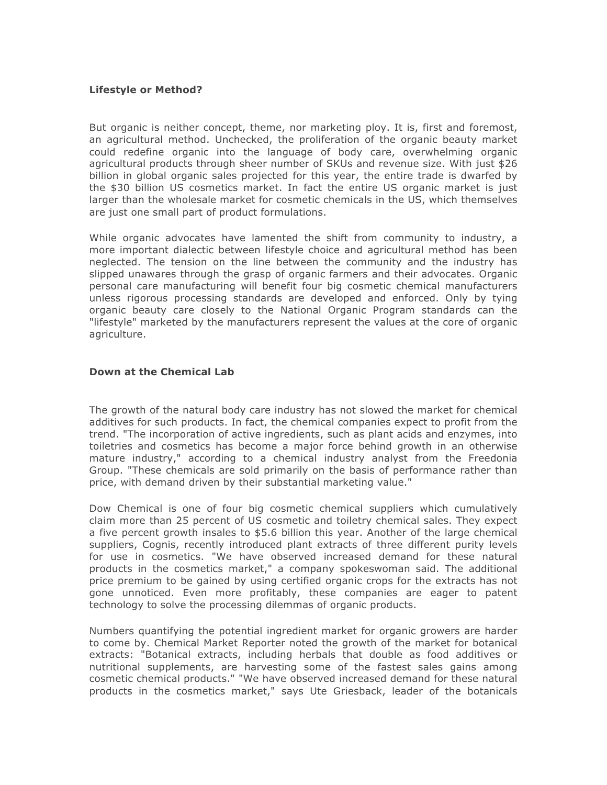### **Lifestyle or Method?**

But organic is neither concept, theme, nor marketing ploy. It is, first and foremost, an agricultural method. Unchecked, the proliferation of the organic beauty market could redefine organic into the language of body care, overwhelming organic agricultural products through sheer number of SKUs and revenue size. With just \$26 billion in global organic sales projected for this year, the entire trade is dwarfed by the \$30 billion US cosmetics market. In fact the entire US organic market is just larger than the wholesale market for cosmetic chemicals in the US, which themselves are just one small part of product formulations.

While organic advocates have lamented the shift from community to industry, a more important dialectic between lifestyle choice and agricultural method has been neglected. The tension on the line between the community and the industry has slipped unawares through the grasp of organic farmers and their advocates. Organic personal care manufacturing will benefit four big cosmetic chemical manufacturers unless rigorous processing standards are developed and enforced. Only by tying organic beauty care closely to the National Organic Program standards can the "lifestyle" marketed by the manufacturers represent the values at the core of organic agriculture.

### **Down at the Chemical Lab**

The growth of the natural body care industry has not slowed the market for chemical additives for such products. In fact, the chemical companies expect to profit from the trend. "The incorporation of active ingredients, such as plant acids and enzymes, into toiletries and cosmetics has become a major force behind growth in an otherwise mature industry," according to a chemical industry analyst from the Freedonia Group. "These chemicals are sold primarily on the basis of performance rather than price, with demand driven by their substantial marketing value."

Dow Chemical is one of four big cosmetic chemical suppliers which cumulatively claim more than 25 percent of US cosmetic and toiletry chemical sales. They expect a five percent growth insales to \$5.6 billion this year. Another of the large chemical suppliers, Cognis, recently introduced plant extracts of three different purity levels for use in cosmetics. "We have observed increased demand for these natural products in the cosmetics market," a company spokeswoman said. The additional price premium to be gained by using certified organic crops for the extracts has not gone unnoticed. Even more profitably, these companies are eager to patent technology to solve the processing dilemmas of organic products.

Numbers quantifying the potential ingredient market for organic growers are harder to come by. Chemical Market Reporter noted the growth of the market for botanical extracts: "Botanical extracts, including herbals that double as food additives or nutritional supplements, are harvesting some of the fastest sales gains among cosmetic chemical products." "We have observed increased demand for these natural products in the cosmetics market," says Ute Griesback, leader of the botanicals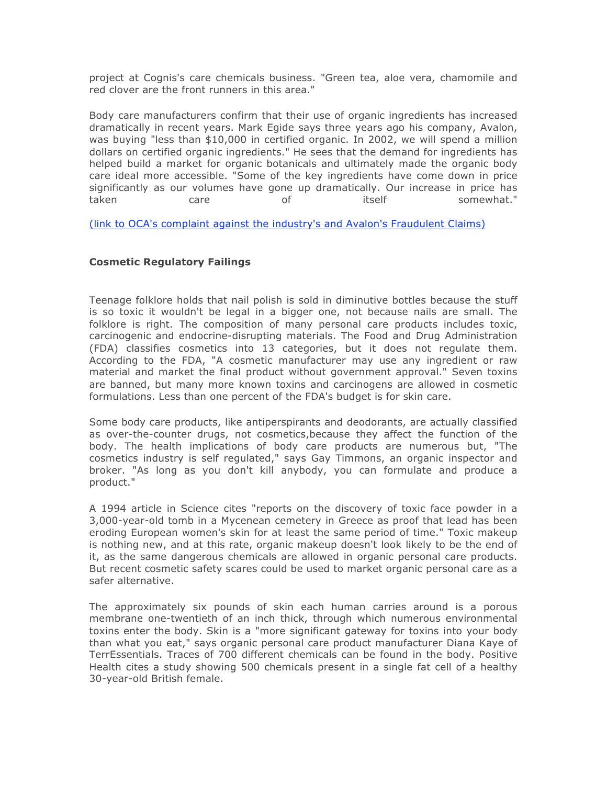project at Cognis's care chemicals business. "Green tea, aloe vera, chamomile and red clover are the front runners in this area."

Body care manufacturers confirm that their use of organic ingredients has increased dramatically in recent years. Mark Egide says three years ago his company, Avalon, was buying "less than \$10,000 in certified organic. In 2002, we will spend a million dollars on certified organic ingredients." He sees that the demand for ingredients has helped build a market for organic botanicals and ultimately made the organic body care ideal more accessible. "Some of the key ingredients have come down in price significantly as our volumes have gone up dramatically. Our increase in price has taken care of itself somewhat."

(link to OCA's complaint against the industry's and Avalon's Fraudulent Claims)

# **Cosmetic Regulatory Failings**

Teenage folklore holds that nail polish is sold in diminutive bottles because the stuff is so toxic it wouldn't be legal in a bigger one, not because nails are small. The folklore is right. The composition of many personal care products includes toxic, carcinogenic and endocrine-disrupting materials. The Food and Drug Administration (FDA) classifies cosmetics into 13 categories, but it does not regulate them. According to the FDA, "A cosmetic manufacturer may use any ingredient or raw material and market the final product without government approval." Seven toxins are banned, but many more known toxins and carcinogens are allowed in cosmetic formulations. Less than one percent of the FDA's budget is for skin care.

Some body care products, like antiperspirants and deodorants, are actually classified as over-the-counter drugs, not cosmetics,because they affect the function of the body. The health implications of body care products are numerous but, "The cosmetics industry is self regulated," says Gay Timmons, an organic inspector and broker. "As long as you don't kill anybody, you can formulate and produce a product."

A 1994 article in Science cites "reports on the discovery of toxic face powder in a 3,000-year-old tomb in a Mycenean cemetery in Greece as proof that lead has been eroding European women's skin for at least the same period of time." Toxic makeup is nothing new, and at this rate, organic makeup doesn't look likely to be the end of it, as the same dangerous chemicals are allowed in organic personal care products. But recent cosmetic safety scares could be used to market organic personal care as a safer alternative.

The approximately six pounds of skin each human carries around is a porous membrane one-twentieth of an inch thick, through which numerous environmental toxins enter the body. Skin is a "more significant gateway for toxins into your body than what you eat," says organic personal care product manufacturer Diana Kaye of TerrEssentials. Traces of 700 different chemicals can be found in the body. Positive Health cites a study showing 500 chemicals present in a single fat cell of a healthy 30-year-old British female.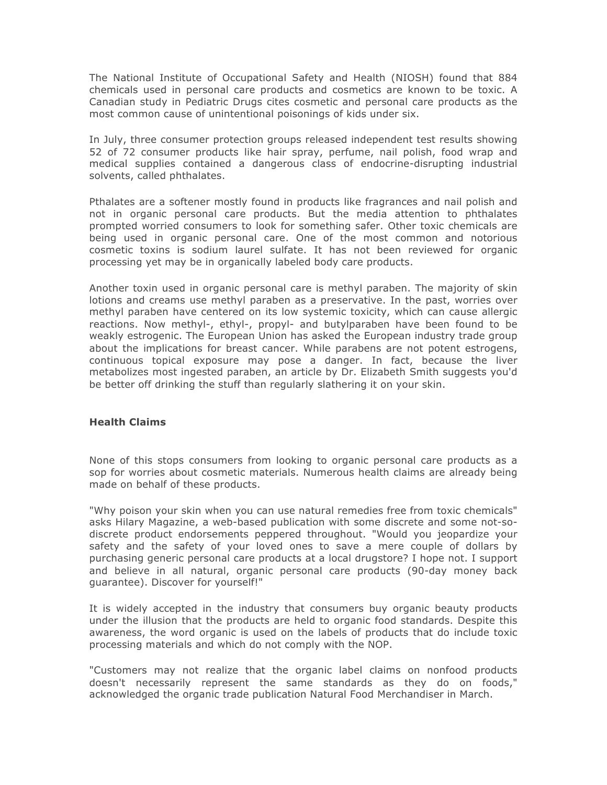The National Institute of Occupational Safety and Health (NIOSH) found that 884 chemicals used in personal care products and cosmetics are known to be toxic. A Canadian study in Pediatric Drugs cites cosmetic and personal care products as the most common cause of unintentional poisonings of kids under six.

In July, three consumer protection groups released independent test results showing 52 of 72 consumer products like hair spray, perfume, nail polish, food wrap and medical supplies contained a dangerous class of endocrine-disrupting industrial solvents, called phthalates.

Pthalates are a softener mostly found in products like fragrances and nail polish and not in organic personal care products. But the media attention to phthalates prompted worried consumers to look for something safer. Other toxic chemicals are being used in organic personal care. One of the most common and notorious cosmetic toxins is sodium laurel sulfate. It has not been reviewed for organic processing yet may be in organically labeled body care products.

Another toxin used in organic personal care is methyl paraben. The majority of skin lotions and creams use methyl paraben as a preservative. In the past, worries over methyl paraben have centered on its low systemic toxicity, which can cause allergic reactions. Now methyl-, ethyl-, propyl- and butylparaben have been found to be weakly estrogenic. The European Union has asked the European industry trade group about the implications for breast cancer. While parabens are not potent estrogens, continuous topical exposure may pose a danger. In fact, because the liver metabolizes most ingested paraben, an article by Dr. Elizabeth Smith suggests you'd be better off drinking the stuff than regularly slathering it on your skin.

## **Health Claims**

None of this stops consumers from looking to organic personal care products as a sop for worries about cosmetic materials. Numerous health claims are already being made on behalf of these products.

"Why poison your skin when you can use natural remedies free from toxic chemicals" asks Hilary Magazine, a web-based publication with some discrete and some not-sodiscrete product endorsements peppered throughout. "Would you jeopardize your safety and the safety of your loved ones to save a mere couple of dollars by purchasing generic personal care products at a local drugstore? I hope not. I support and believe in all natural, organic personal care products (90-day money back guarantee). Discover for yourself!"

It is widely accepted in the industry that consumers buy organic beauty products under the illusion that the products are held to organic food standards. Despite this awareness, the word organic is used on the labels of products that do include toxic processing materials and which do not comply with the NOP.

"Customers may not realize that the organic label claims on nonfood products doesn't necessarily represent the same standards as they do on foods," acknowledged the organic trade publication Natural Food Merchandiser in March.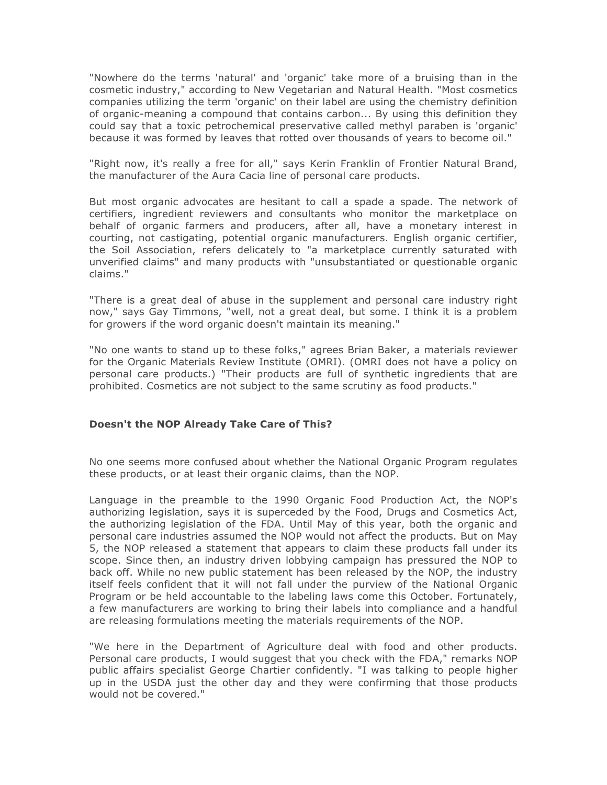"Nowhere do the terms 'natural' and 'organic' take more of a bruising than in the cosmetic industry," according to New Vegetarian and Natural Health. "Most cosmetics companies utilizing the term 'organic' on their label are using the chemistry definition of organic-meaning a compound that contains carbon... By using this definition they could say that a toxic petrochemical preservative called methyl paraben is 'organic' because it was formed by leaves that rotted over thousands of years to become oil."

"Right now, it's really a free for all," says Kerin Franklin of Frontier Natural Brand, the manufacturer of the Aura Cacia line of personal care products.

But most organic advocates are hesitant to call a spade a spade. The network of certifiers, ingredient reviewers and consultants who monitor the marketplace on behalf of organic farmers and producers, after all, have a monetary interest in courting, not castigating, potential organic manufacturers. English organic certifier, the Soil Association, refers delicately to "a marketplace currently saturated with unverified claims" and many products with "unsubstantiated or questionable organic claims."

"There is a great deal of abuse in the supplement and personal care industry right now," says Gay Timmons, "well, not a great deal, but some. I think it is a problem for growers if the word organic doesn't maintain its meaning."

"No one wants to stand up to these folks," agrees Brian Baker, a materials reviewer for the Organic Materials Review Institute (OMRI). (OMRI does not have a policy on personal care products.) "Their products are full of synthetic ingredients that are prohibited. Cosmetics are not subject to the same scrutiny as food products."

## **Doesn't the NOP Already Take Care of This?**

No one seems more confused about whether the National Organic Program regulates these products, or at least their organic claims, than the NOP.

Language in the preamble to the 1990 Organic Food Production Act, the NOP's authorizing legislation, says it is superceded by the Food, Drugs and Cosmetics Act, the authorizing legislation of the FDA. Until May of this year, both the organic and personal care industries assumed the NOP would not affect the products. But on May 5, the NOP released a statement that appears to claim these products fall under its scope. Since then, an industry driven lobbying campaign has pressured the NOP to back off. While no new public statement has been released by the NOP, the industry itself feels confident that it will not fall under the purview of the National Organic Program or be held accountable to the labeling laws come this October. Fortunately, a few manufacturers are working to bring their labels into compliance and a handful are releasing formulations meeting the materials requirements of the NOP.

"We here in the Department of Agriculture deal with food and other products. Personal care products, I would suggest that you check with the FDA," remarks NOP public affairs specialist George Chartier confidently. "I was talking to people higher up in the USDA just the other day and they were confirming that those products would not be covered."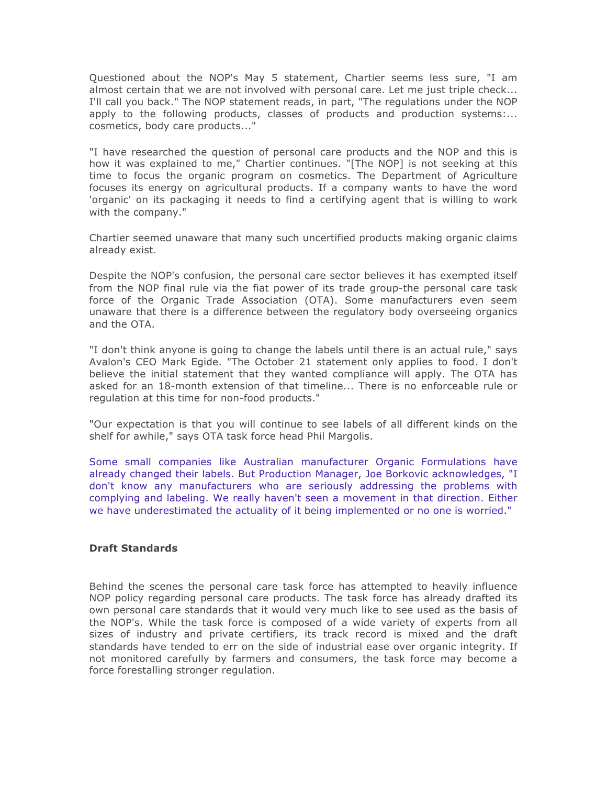Questioned about the NOP's May 5 statement, Chartier seems less sure, "I am almost certain that we are not involved with personal care. Let me just triple check... I'll call you back." The NOP statement reads, in part, "The regulations under the NOP apply to the following products, classes of products and production systems:... cosmetics, body care products..."

"I have researched the question of personal care products and the NOP and this is how it was explained to me," Chartier continues. "[The NOP] is not seeking at this time to focus the organic program on cosmetics. The Department of Agriculture focuses its energy on agricultural products. If a company wants to have the word 'organic' on its packaging it needs to find a certifying agent that is willing to work with the company."

Chartier seemed unaware that many such uncertified products making organic claims already exist.

Despite the NOP's confusion, the personal care sector believes it has exempted itself from the NOP final rule via the fiat power of its trade group-the personal care task force of the Organic Trade Association (OTA). Some manufacturers even seem unaware that there is a difference between the regulatory body overseeing organics and the OTA.

"I don't think anyone is going to change the labels until there is an actual rule," says Avalon's CEO Mark Egide. "The October 21 statement only applies to food. I don't believe the initial statement that they wanted compliance will apply. The OTA has asked for an 18-month extension of that timeline... There is no enforceable rule or regulation at this time for non-food products."

"Our expectation is that you will continue to see labels of all different kinds on the shelf for awhile," says OTA task force head Phil Margolis.

Some small companies like Australian manufacturer Organic Formulations have already changed their labels. But Production Manager, Joe Borkovic acknowledges, "I don't know any manufacturers who are seriously addressing the problems with complying and labeling. We really haven't seen a movement in that direction. Either we have underestimated the actuality of it being implemented or no one is worried."

## **Draft Standards**

Behind the scenes the personal care task force has attempted to heavily influence NOP policy regarding personal care products. The task force has already drafted its own personal care standards that it would very much like to see used as the basis of the NOP's. While the task force is composed of a wide variety of experts from all sizes of industry and private certifiers, its track record is mixed and the draft standards have tended to err on the side of industrial ease over organic integrity. If not monitored carefully by farmers and consumers, the task force may become a force forestalling stronger regulation.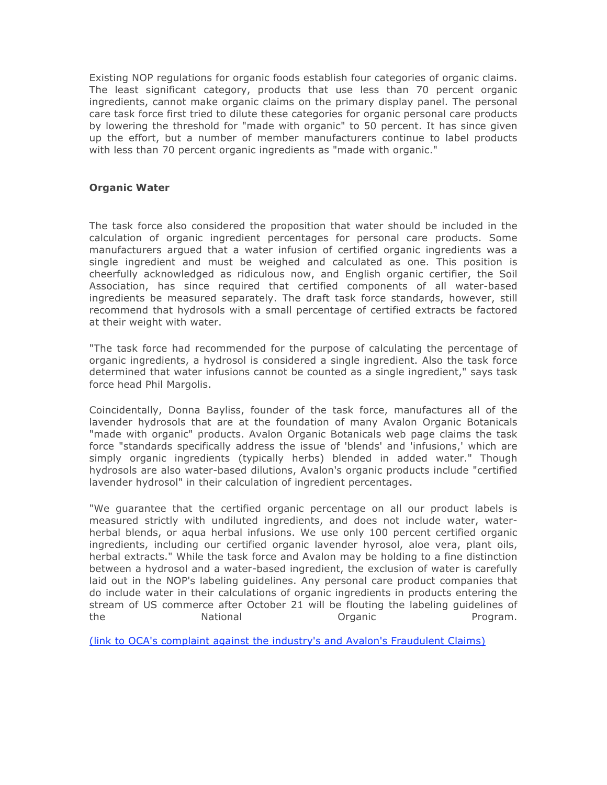Existing NOP regulations for organic foods establish four categories of organic claims. The least significant category, products that use less than 70 percent organic ingredients, cannot make organic claims on the primary display panel. The personal care task force first tried to dilute these categories for organic personal care products by lowering the threshold for "made with organic" to 50 percent. It has since given up the effort, but a number of member manufacturers continue to label products with less than 70 percent organic ingredients as "made with organic."

# **Organic Water**

The task force also considered the proposition that water should be included in the calculation of organic ingredient percentages for personal care products. Some manufacturers argued that a water infusion of certified organic ingredients was a single ingredient and must be weighed and calculated as one. This position is cheerfully acknowledged as ridiculous now, and English organic certifier, the Soil Association, has since required that certified components of all water-based ingredients be measured separately. The draft task force standards, however, still recommend that hydrosols with a small percentage of certified extracts be factored at their weight with water.

"The task force had recommended for the purpose of calculating the percentage of organic ingredients, a hydrosol is considered a single ingredient. Also the task force determined that water infusions cannot be counted as a single ingredient," says task force head Phil Margolis.

Coincidentally, Donna Bayliss, founder of the task force, manufactures all of the lavender hydrosols that are at the foundation of many Avalon Organic Botanicals "made with organic" products. Avalon Organic Botanicals web page claims the task force "standards specifically address the issue of 'blends' and 'infusions,' which are simply organic ingredients (typically herbs) blended in added water." Though hydrosols are also water-based dilutions, Avalon's organic products include "certified lavender hydrosol" in their calculation of ingredient percentages.

"We guarantee that the certified organic percentage on all our product labels is measured strictly with undiluted ingredients, and does not include water, waterherbal blends, or aqua herbal infusions. We use only 100 percent certified organic ingredients, including our certified organic lavender hyrosol, aloe vera, plant oils, herbal extracts." While the task force and Avalon may be holding to a fine distinction between a hydrosol and a water-based ingredient, the exclusion of water is carefully laid out in the NOP's labeling guidelines. Any personal care product companies that do include water in their calculations of organic ingredients in products entering the stream of US commerce after October 21 will be flouting the labeling guidelines of the **National National Companie Companie Program.** 

(link to OCA's complaint against the industry's and Avalon's Fraudulent Claims)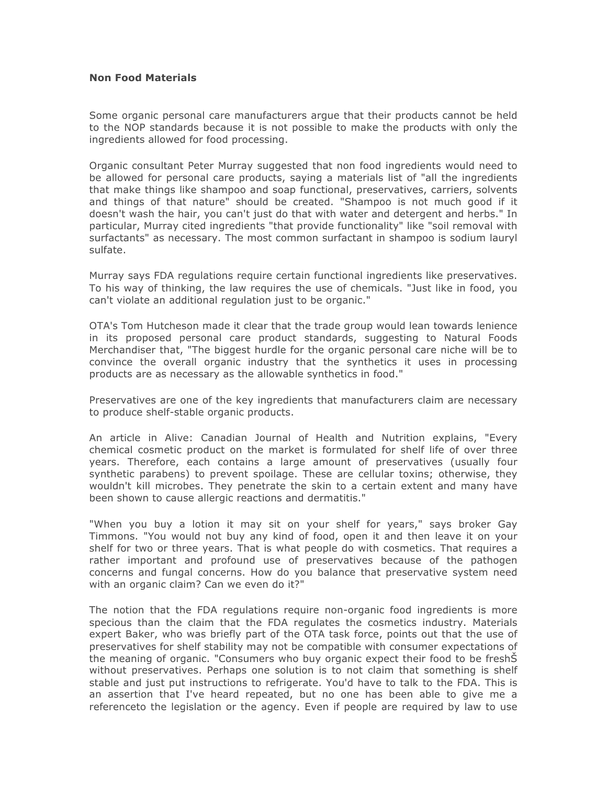### **Non Food Materials**

Some organic personal care manufacturers argue that their products cannot be held to the NOP standards because it is not possible to make the products with only the ingredients allowed for food processing.

Organic consultant Peter Murray suggested that non food ingredients would need to be allowed for personal care products, saying a materials list of "all the ingredients that make things like shampoo and soap functional, preservatives, carriers, solvents and things of that nature" should be created. "Shampoo is not much good if it doesn't wash the hair, you can't just do that with water and detergent and herbs." In particular, Murray cited ingredients "that provide functionality" like "soil removal with surfactants" as necessary. The most common surfactant in shampoo is sodium lauryl sulfate.

Murray says FDA regulations require certain functional ingredients like preservatives. To his way of thinking, the law requires the use of chemicals. "Just like in food, you can't violate an additional regulation just to be organic."

OTA's Tom Hutcheson made it clear that the trade group would lean towards lenience in its proposed personal care product standards, suggesting to Natural Foods Merchandiser that, "The biggest hurdle for the organic personal care niche will be to convince the overall organic industry that the synthetics it uses in processing products are as necessary as the allowable synthetics in food."

Preservatives are one of the key ingredients that manufacturers claim are necessary to produce shelf-stable organic products.

An article in Alive: Canadian Journal of Health and Nutrition explains, "Every chemical cosmetic product on the market is formulated for shelf life of over three years. Therefore, each contains a large amount of preservatives (usually four synthetic parabens) to prevent spoilage. These are cellular toxins; otherwise, they wouldn't kill microbes. They penetrate the skin to a certain extent and many have been shown to cause allergic reactions and dermatitis."

"When you buy a lotion it may sit on your shelf for years," says broker Gay Timmons. "You would not buy any kind of food, open it and then leave it on your shelf for two or three years. That is what people do with cosmetics. That requires a rather important and profound use of preservatives because of the pathogen concerns and fungal concerns. How do you balance that preservative system need with an organic claim? Can we even do it?"

The notion that the FDA regulations require non-organic food ingredients is more specious than the claim that the FDA regulates the cosmetics industry. Materials expert Baker, who was briefly part of the OTA task force, points out that the use of preservatives for shelf stability may not be compatible with consumer expectations of the meaning of organic. "Consumers who buy organic expect their food to be freshŠ without preservatives. Perhaps one solution is to not claim that something is shelf stable and just put instructions to refrigerate. You'd have to talk to the FDA. This is an assertion that I've heard repeated, but no one has been able to give me a referenceto the legislation or the agency. Even if people are required by law to use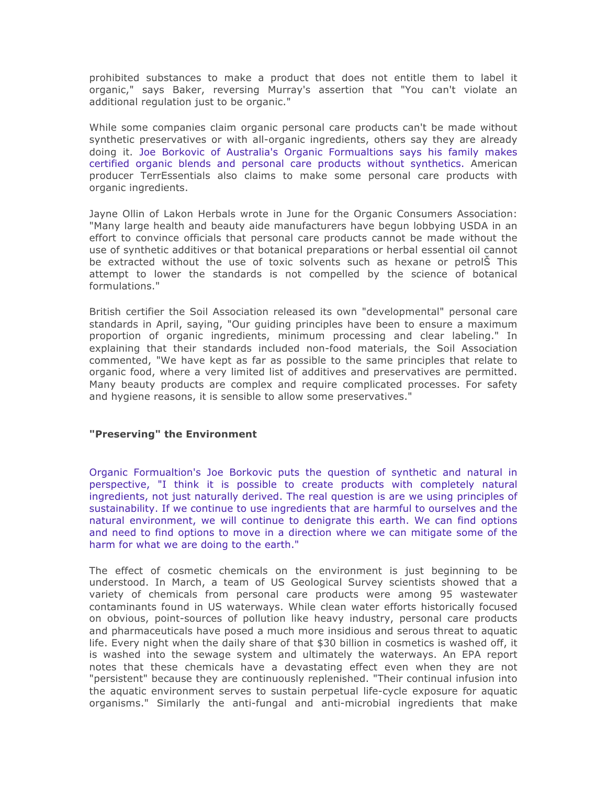prohibited substances to make a product that does not entitle them to label it organic," says Baker, reversing Murray's assertion that "You can't violate an additional regulation just to be organic."

While some companies claim organic personal care products can't be made without synthetic preservatives or with all-organic ingredients, others say they are already doing it. Joe Borkovic of Australia's Organic Formualtions says his family makes certified organic blends and personal care products without synthetics. American producer TerrEssentials also claims to make some personal care products with organic ingredients.

Jayne Ollin of Lakon Herbals wrote in June for the Organic Consumers Association: "Many large health and beauty aide manufacturers have begun lobbying USDA in an effort to convince officials that personal care products cannot be made without the use of synthetic additives or that botanical preparations or herbal essential oil cannot be extracted without the use of toxic solvents such as hexane or petrolŠ This attempt to lower the standards is not compelled by the science of botanical formulations."

British certifier the Soil Association released its own "developmental" personal care standards in April, saying, "Our guiding principles have been to ensure a maximum proportion of organic ingredients, minimum processing and clear labeling." In explaining that their standards included non-food materials, the Soil Association commented, "We have kept as far as possible to the same principles that relate to organic food, where a very limited list of additives and preservatives are permitted. Many beauty products are complex and require complicated processes. For safety and hygiene reasons, it is sensible to allow some preservatives."

#### **"Preserving" the Environment**

Organic Formualtion's Joe Borkovic puts the question of synthetic and natural in perspective, "I think it is possible to create products with completely natural ingredients, not just naturally derived. The real question is are we using principles of sustainability. If we continue to use ingredients that are harmful to ourselves and the natural environment, we will continue to denigrate this earth. We can find options and need to find options to move in a direction where we can mitigate some of the harm for what we are doing to the earth."

The effect of cosmetic chemicals on the environment is just beginning to be understood. In March, a team of US Geological Survey scientists showed that a variety of chemicals from personal care products were among 95 wastewater contaminants found in US waterways. While clean water efforts historically focused on obvious, point-sources of pollution like heavy industry, personal care products and pharmaceuticals have posed a much more insidious and serous threat to aquatic life. Every night when the daily share of that \$30 billion in cosmetics is washed off, it is washed into the sewage system and ultimately the waterways. An EPA report notes that these chemicals have a devastating effect even when they are not "persistent" because they are continuously replenished. "Their continual infusion into the aquatic environment serves to sustain perpetual life-cycle exposure for aquatic organisms." Similarly the anti-fungal and anti-microbial ingredients that make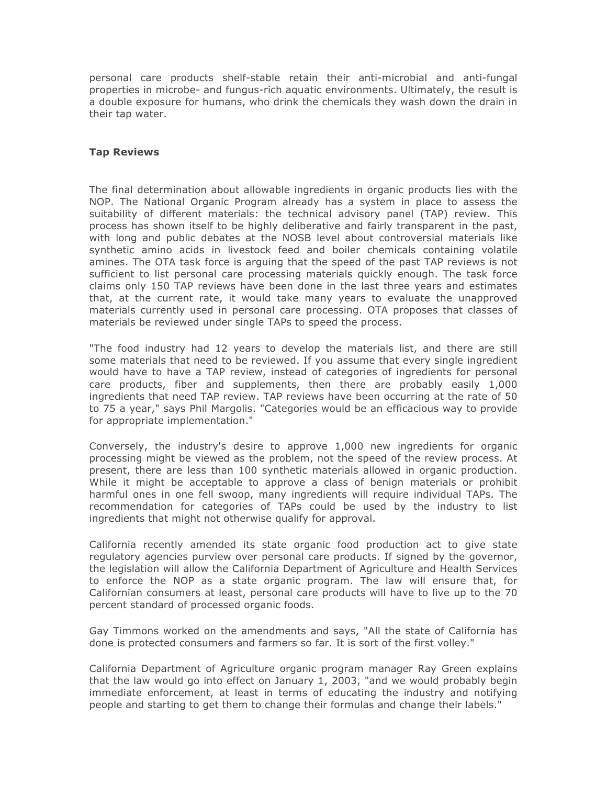personal care products shelf-stable retain their anti-microbial and anti-fungal properties in microbe- and fungus-rich aquatic environments. Ultimately, the result is a double exposure for humans, who drink the chemicals they wash down the drain in their tap water.

### **Tap Reviews**

The final determination about allowable ingredients in organic products lies with the NOP. The National Organic Program already has a system in place to assess the suitability of different materials: the technical advisory panel (TAP) review. This process has shown itself to be highly deliberative and fairly transparent in the past, with long and public debates at the NOSB level about controversial materials like synthetic amino acids in livestock feed and boiler chemicals containing volatile amines. The OTA task force is arguing that the speed of the past TAP reviews is not sufficient to list personal care processing materials quickly enough. The task force claims only 150 TAP reviews have been done in the last three years and estimates that, at the current rate, it would take many years to evaluate the unapproved materials currently used in personal care processing. OTA proposes that classes of materials be reviewed under single TAPs to speed the process.

"The food industry had 12 years to develop the materials list, and there are still some materials that need to be reviewed. If you assume that every single ingredient would have to have a TAP review, instead of categories of ingredients for personal care products, fiber and supplements, then there are probably easily 1,000 ingredients that need TAP review. TAP reviews have been occurring at the rate of 50 to 75 a year," says Phil Margolis. "Categories would be an efficacious way to provide for appropriate implementation."

Conversely, the industry's desire to approve 1,000 new ingredients for organic processing might be viewed as the problem, not the speed of the review process. At present, there are less than 100 synthetic materials allowed in organic production. While it might be acceptable to approve a class of benign materials or prohibit harmful ones in one fell swoop, many ingredients will require individual TAPs. The recommendation for categories of TAPs could be used by the industry to list ingredients that might not otherwise qualify for approval.

California recently amended its state organic food production act to give state regulatory agencies purview over personal care products. If signed by the governor, the legislation will allow the California Department of Agriculture and Health Services to enforce the NOP as a state organic program. The law will ensure that, for Californian consumers at least, personal care products will have to live up to the 70 percent standard of processed organic foods.

Gay Timmons worked on the amendments and says, "All the state of California has done is protected consumers and farmers so far. It is sort of the first volley."

California Department of Agriculture organic program manager Ray Green explains that the law would go into effect on January 1, 2003, "and we would probably begin immediate enforcement, at least in terms of educating the industry and notifying people and starting to get them to change their formulas and change their labels."